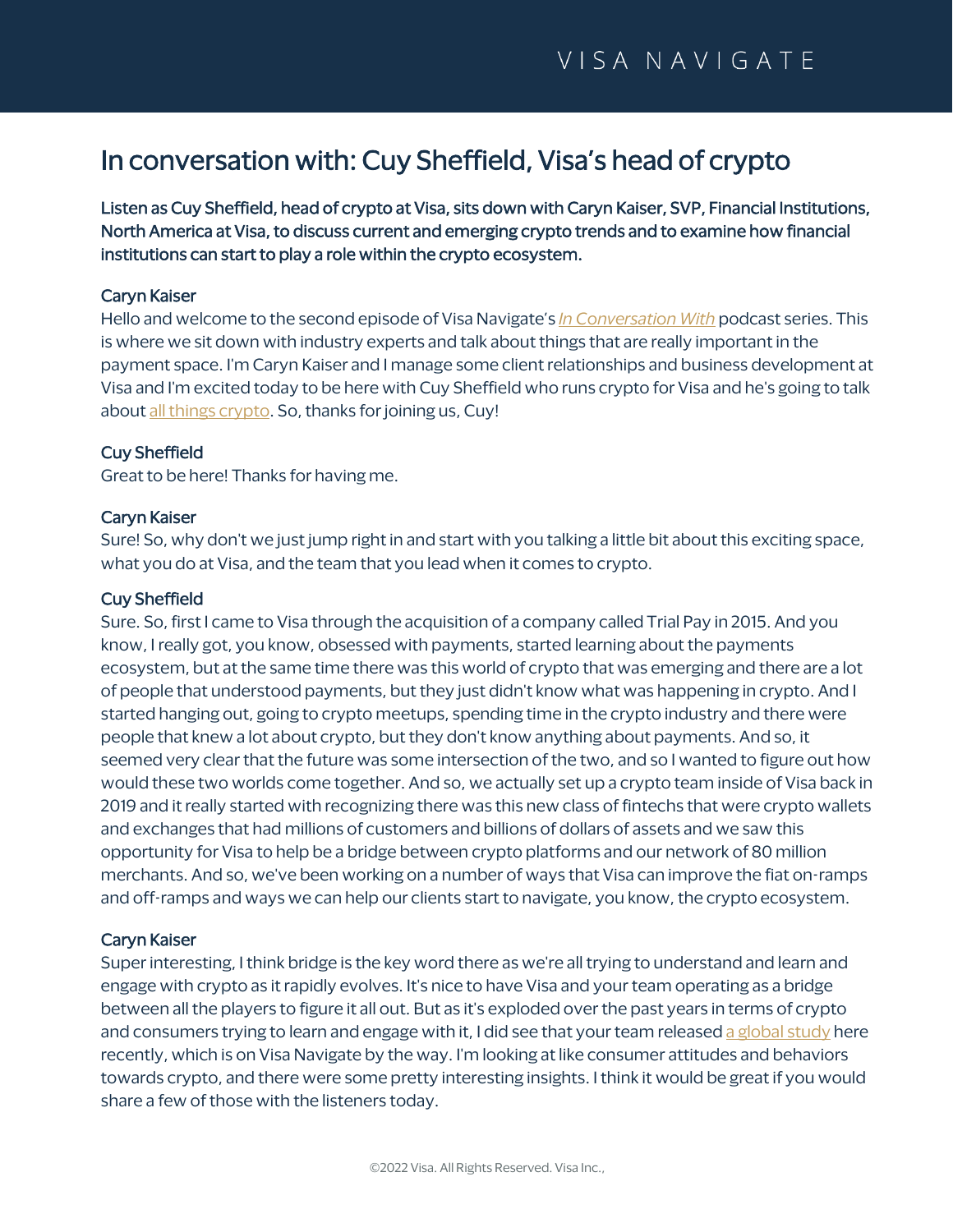# In conversation with: Cuy Sheffield, Visa's head of crypto

Listen as Cuy Sheffield, head of crypto at Visa, sits down with Caryn Kaiser, SVP, Financial Institutions, North America at Visa, to discuss current and emerging crypto trends and to examine how financial institutions can start to play a role within the crypto ecosystem.

#### Caryn Kaiser

Hello and welcome to the second episode of Visa Navigate's *[In Conversation With](https://navigate.visa.com/na/spending-insights/in-conversation-with-kim-lawrence/)* podcast series. This is where we sit down with industry experts and talk about things that are really important in the payment space. I'm Caryn Kaiser and I manage some client relationships and business development at Visa and I'm excited today to be here with Cuy Sheffield who runs [crypto](https://navigate.visa.com/na/money-movement/crypto-currency-the-real-opportunity/) for Visa and he's going to talk abou[t all things crypto.](https://navigate.visa.com/na/money-movement/crypto-currency-the-real-opportunity/) So, thanks for joining us, Cuy!

#### Cuy Sheffield

Great to be here! Thanks for having me.

#### Caryn Kaiser

Sure! So, why don't we just jump right in and start with you talking a little bit about this exciting space, what you do at Visa, and the team that you lead when it comes to crypto.

#### Cuy Sheffield

Sure. So, first I came to Visa through the acquisition of a company called Trial Pay in 2015. And you know, I really got, you know, obsessed with payments, started learning about the payments ecosystem, but at the same time there was this world of crypto that was emerging and there are a lot of people that understood payments, but they just didn't know what was happening in crypto. And I started hanging out, going to crypto meetups, spending time in the crypto industry and there were people that knew a lot about crypto, but they don't know anything about payments. And so, it seemed very clear that the future was some intersection of the two, and so I wanted to figure out how would these two worlds come together. And so, we actually set up a crypto team inside of Visa back in 2019 and it really started with recognizing there was this new class of fintechs that were crypto wallets and exchanges that had millions of customers and billions of dollars of assets and we saw this opportunity for Visa to help be a bridge between crypto platforms and our network of 80 million merchants. And so, we've been working on a number of ways that Visa can improve the fiat on-ramps and off-ramps and ways we can help our clients start to navigate, you know, the crypto ecosystem.

#### Caryn Kaiser

Super interesting, I think bridge is the key word there as we're all trying to understand and learn and engage with crypto as it rapidly evolves. It's nice to have Visa and your team operating as a bridge between all the players to figure it all out. But as it's exploded over the past years in terms of crypto and consumers trying to learn and engage with it, I did see that your team release[d a global study](https://navigate.visa.com/na/money-movement/what-consumers-think-of-crypto/) here recently, which is on Visa Navigate by the way. I'm looking at like consumer attitudes and behaviors towards crypto, and there were some pretty interesting insights. I think it would be great if you would share a few of those with the listeners today.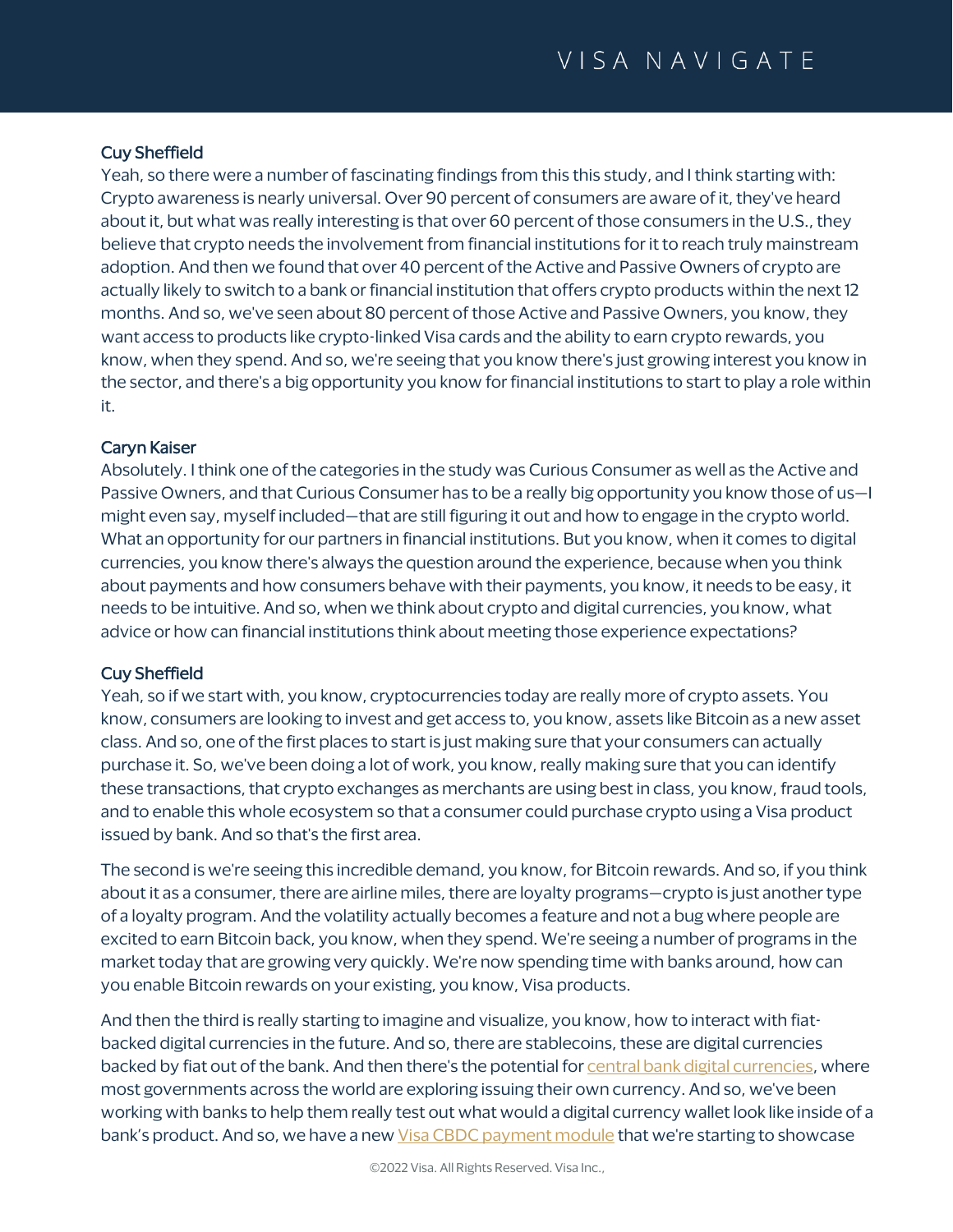# Cuy Sheffield

Yeah, so there were a number of fascinating findings from this this study, and I think starting with: Crypto awareness is nearly universal. Over 90 percent of consumers are aware of it, they've heard about it, but what was really interesting is that over 60 percent of those consumers in the U.S., they believe that crypto needs the involvement from financial institutions for it to reach truly mainstream adoption. And then we found that over 40 percent of the Active and Passive Owners of crypto are actually likely to switch to a bank or financial institution that offers crypto products within the next 12 months. And so, we've seen about 80 percent of those Active and Passive Owners, you know, they want access to products like crypto-linked Visa cards and the ability to earn crypto rewards, you know, when they spend. And so, we're seeing that you know there's just growing interest you know in the sector, and there's a big opportunity you know for financial institutions to start to play a role within it.

# Caryn Kaiser

Absolutely. I think one of the categories in the study was Curious Consumer as well as the Active and Passive Owners, and that Curious Consumer has to be a really big opportunity you know those of us—I might even say, myself included—that are still figuring it out and how to engage in the crypto world. What an opportunity for our partners in financial institutions. But you know, when it comes to digital currencies, you know there's always the question around the experience, because when you think about payments and how consumers behave with their payments, you know, it needs to be easy, it needs to be intuitive. And so, when we think about crypto and digital currencies, you know, what advice or how can financial institutions think about meeting those experience expectations?

## Cuy Sheffield

Yeah, so if we start with, you know, cryptocurrencies today are really more of crypto assets. You know, consumers are looking to invest and get access to, you know, assets like Bitcoin as a new asset class. And so, one of the first places to start is just making sure that your consumers can actually purchase it. So, we've been doing a lot of work, you know, really making sure that you can identify these transactions, that crypto exchanges as merchants are using best in class, you know, fraud tools, and to enable this whole ecosystem so that a consumer could purchase crypto using a Visa product issued by bank. And so that's the first area.

The second is we're seeing this incredible demand, you know, for Bitcoin rewards. And so, if you think about it as a consumer, there are airline miles, there are loyalty programs—crypto is just another type of a loyalty program. And the volatility actually becomes a feature and not a bug where people are excited to earn Bitcoin back, you know, when they spend. We're seeing a number of programs in the market today that are growing very quickly. We're now spending time with banks around, how can you enable Bitcoin rewards on your existing, you know, Visa products.

And then the third is really starting to imagine and visualize, you know, how to interact with fiatbacked digital currencies in the future. And so, there are stablecoins, these are digital currencies backed by fiat out of the bank. And then there's the potential fo[r central bank digital currencies,](https://navigate.visa.com/na/money-movement/the-clocks-ticking-on-central-bank-digital-currencies/) where most governments across the world are exploring issuing their own currency. And so, we've been working with banks to help them really test out what would a digital currency wallet look like inside of a bank's product. And so, we have a new [Visa CBDC payment module](https://navigate.visa.com/na/money-movement/making-digital-currencies-interoperable-through-universal-payment-channels/) that we're starting to showcase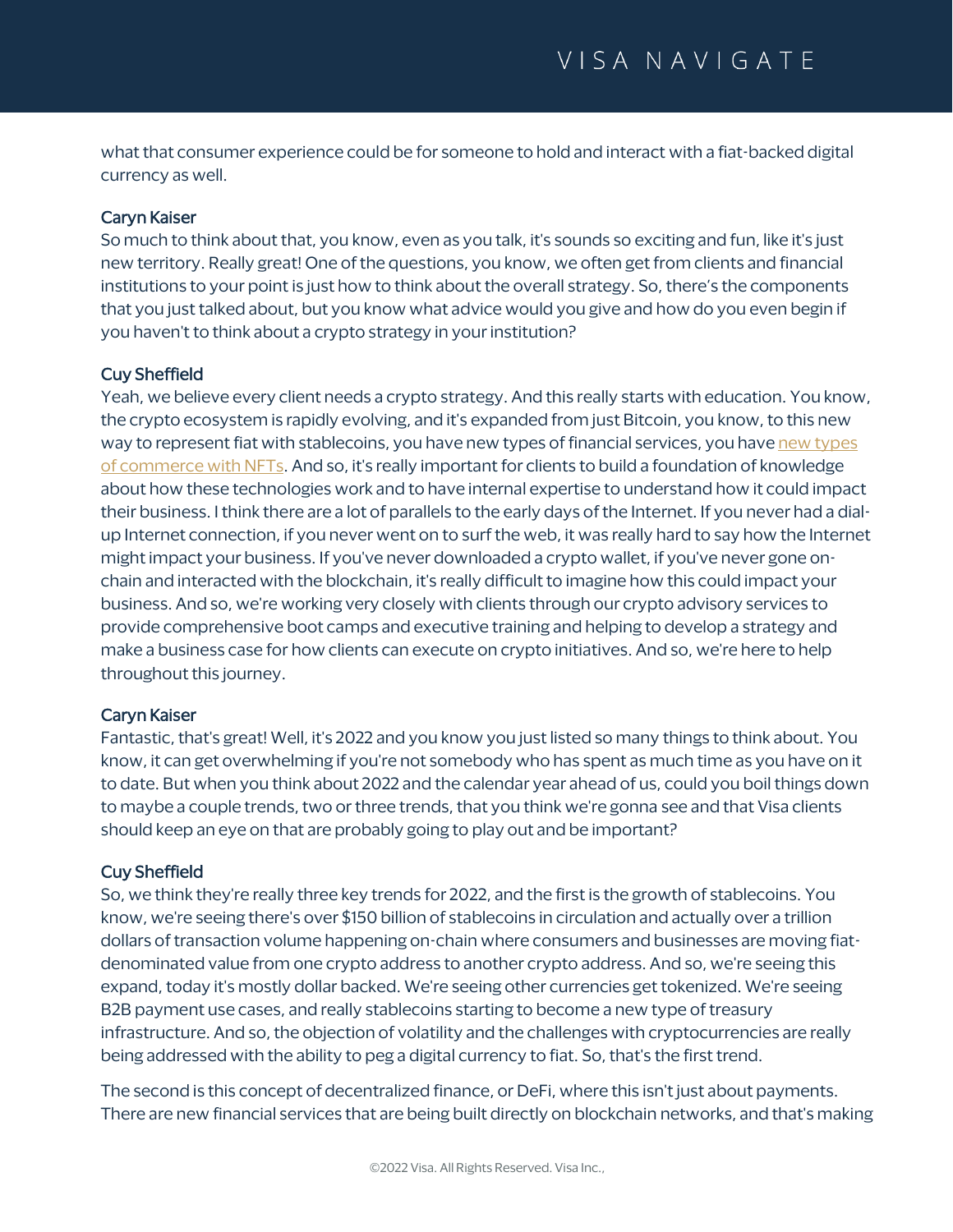what that consumer experience could be for someone to hold and interact with a fiat-backed digital currency as well.

# Caryn Kaiser

So much to think about that, you know, even as you talk, it's sounds so exciting and fun, like it's just new territory. Really great! One of the questions, you know, we often get from clients and financial institutions to your point is just how to think about the overall strategy. So, there's the components that you just talked about, but you know what advice would you give and how do you even begin if you haven't to think about a crypto strategy in your institution?

# Cuy Sheffield

Yeah, we believe every client needs a crypto strategy. And this really starts with education. You know, the crypto ecosystem is rapidly evolving, and it's expanded from just Bitcoin, you know, to this new way to represent fiat with stablecoins, you hav[e new types](https://navigate.visa.com/na/money-movement/integrating-nfts-as-a-new-form-of-mainstream-ecommerce/) of financial services, you have new types [of commerce with NFTs.](https://navigate.visa.com/na/money-movement/integrating-nfts-as-a-new-form-of-mainstream-ecommerce/) And so, it's really important for clients to build a foundation of knowledge about how these technologies work and to have internal expertise to understand how it could impact their business. I think there are a lot of parallels to the early days of the Internet. If you never had a dialup Internet connection, if you never went on to surf the web, it was really hard to say how the Internet might impact your business. If you've never downloaded a crypto wallet, if you've never gone onchain and interacted with the blockchain, it's really difficult to imagine how this could impact your business. And so, we're working very closely with clients through our crypto advisory services to provide comprehensive boot camps and executive training and helping to develop a strategy and make a business case for how clients can execute on crypto initiatives. And so, we're here to help throughout this journey.

## Caryn Kaiser

Fantastic, that's great! Well, it's 2022 and you know you just listed so many things to think about. You know, it can get overwhelming if you're not somebody who has spent as much time as you have on it to date. But when you think about 2022 and the calendar year ahead of us, could you boil things down to maybe a couple trends, two or three trends, that you think we're gonna see and that Visa clients should keep an eye on that are probably going to play out and be important?

## Cuy Sheffield

So, we think they're really three key trends for 2022, and the first is the growth of stablecoins. You know, we're seeing there's over \$150 billion of stablecoins in circulation and actually over a trillion dollars of transaction volume happening on-chain where consumers and businesses are moving fiatdenominated value from one crypto address to another crypto address. And so, we're seeing this expand, today it's mostly dollar backed. We're seeing other currencies get tokenized. We're seeing B2B payment use cases, and really stablecoins starting to become a new type of treasury infrastructure. And so, the objection of volatility and the challenges with cryptocurrencies are really being addressed with the ability to peg a digital currency to fiat. So, that's the first trend.

The second is this concept of decentralized finance, or DeFi, where this isn't just about payments. There are new financial services that are being built directly on blockchain networks, and that's making